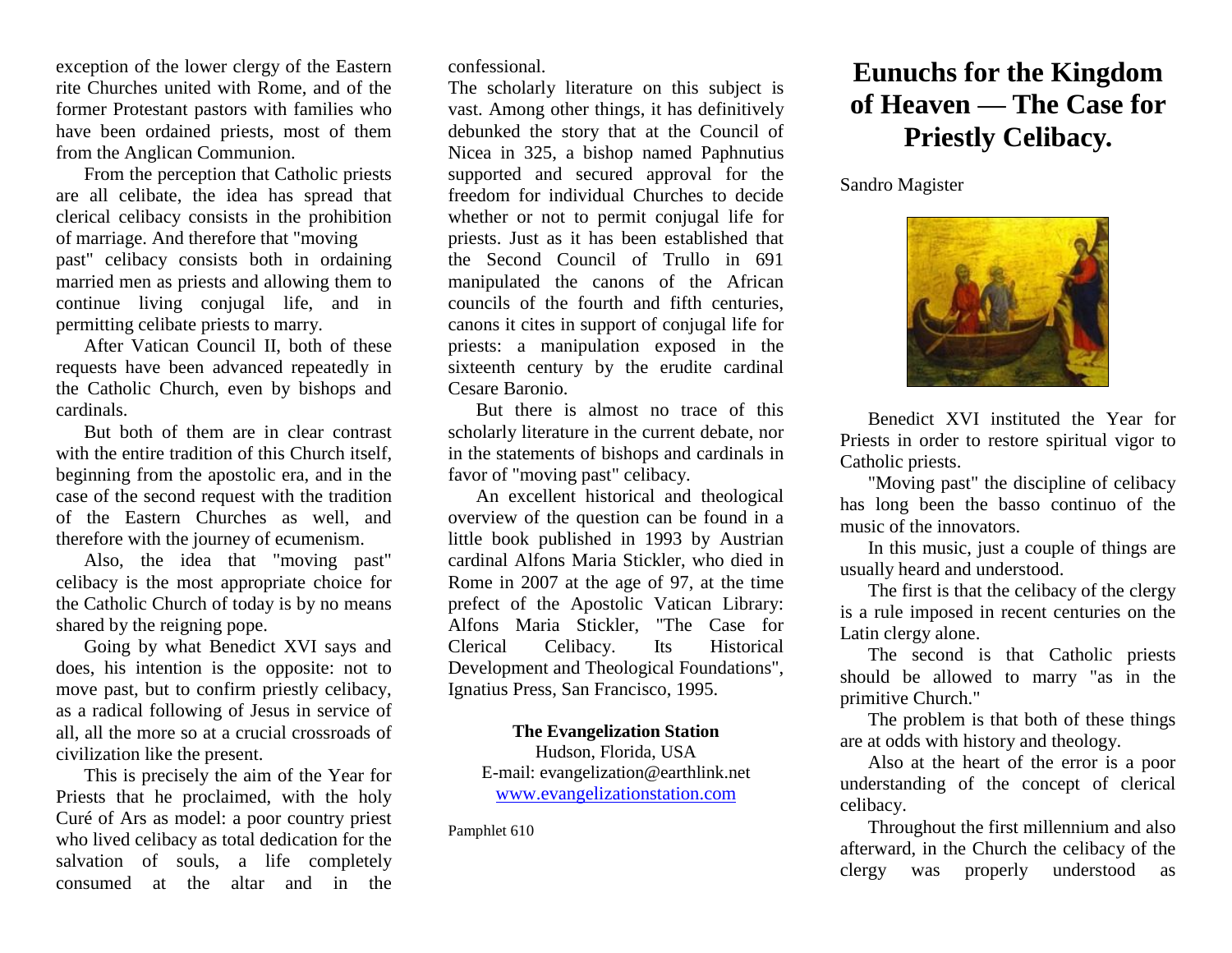exception of the lower clergy of the Eastern rite Churches united with Rome, and of the former Protestant pastors with families who have been ordained priests, most of them from the Anglican Communion.

From the perception that Catholic priests are all celibate, the idea has spread that clerical celibacy consists in the prohibition of marriage. And therefore that "moving past" celibacy consists both in ordaining married men as priests and allowing them to continue living conjugal life, and in permitting celibate priests to marry.

After Vatican Council II, both of these requests have been advanced repeatedly in the Catholic Church, even by bishops and cardinals.

But both of them are in clear contrast with the entire tradition of this Church itself. beginning from the apostolic era, and in the case of the second request with the tradition of the Eastern Churches as well, and therefore with the journey of ecumenism.

Also, the idea that "moving past" celibacy is the most appropriate choice for the Catholic Church of today is by no means shared by the reigning pope.

Going by what Benedict XVI says and does, his intention is the opposite: not to move past, but to confirm priestly celibacy, as a radical following of Jesus in service of all, all the more so at a crucial crossroads of civilization like the present.

This is precisely the aim of the Year for Priests that he proclaimed, with the holy Curé of Ars as model: a poor country priest who lived celibacy as total dedication for the salvation of souls, a life completely consumed at the altar and in the

confessional.

The scholarly literature on this subject is vast. Among other things, it has definitively debunked the story that at the Council of Nicea in 325, a bishop named Paphnutius supported and secured approval for the freedom for individual Churches to decide whether or not to permit conjugal life for priests. Just as it has been established that the Second Council of Trullo in 691 manipulated the canons of the African councils of the fourth and fifth centuries, canons it cites in support of conjugal life for priests: a manipulation exposed in the sixteenth century by the erudite cardinal Cesare Baronio.

But there is almost no trace of this scholarly literature in the current debate, nor in the statements of bishops and cardinals in favor of "moving past" celibacy.

An excellent historical and theological overview of the question can be found in a little book published in 1993 by Austrian cardinal Alfons Maria Stickler, who died in Rome in 2007 at the age of 97, at the time prefect of the Apostolic Vatican Library: [Alfons Maria Stickler, "The Case for](http://www.ignatius.com/Products/CCEL-P/the-case-for-clerical-celibacy.aspx)  [Clerical Celibacy. Its Historical](http://www.ignatius.com/Products/CCEL-P/the-case-for-clerical-celibacy.aspx)  [Development and Theological Foundations",](http://www.ignatius.com/Products/CCEL-P/the-case-for-clerical-celibacy.aspx)  [Ignatius Press, San Francisco, 1995.](http://www.ignatius.com/Products/CCEL-P/the-case-for-clerical-celibacy.aspx)

## **The Evangelization Station**

Hudson, Florida, USA E-mail: evangelization@earthlink.net [www.evangelizationstation.com](http://www.pjpiisoe.org/)

Pamphlet 610

## **Eunuchs for the Kingdom of Heaven — The Case for Priestly Celibacy.**

Sandro Magister



Benedict XVI instituted the Year for Priests in order to restore spiritual vigor to Catholic priests.

"Moving past" the discipline of celibacy has long been the basso continuo of the music of the innovators.

In this music, just a couple of things are usually heard and understood.

The first is that the celibacy of the clergy is a rule imposed in recent centuries on the Latin clergy alone.

The second is that Catholic priests should be allowed to marry "as in the primitive Church."

The problem is that both of these things are at odds with history and theology.

Also at the heart of the error is a poor understanding of the concept of clerical celibacy.

Throughout the first millennium and also afterward, in the Church the celibacy of the clergy was properly understood as